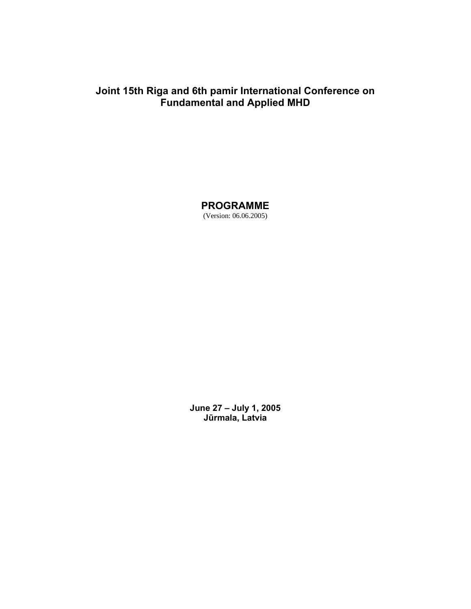# **Joint 15th Riga and 6th pamir International Conference on Fundamental and Applied MHD**

**PROGRAMME**  (Version: 06.06.2005)

**June 27 – July 1, 2005 Jūrmala, Latvia**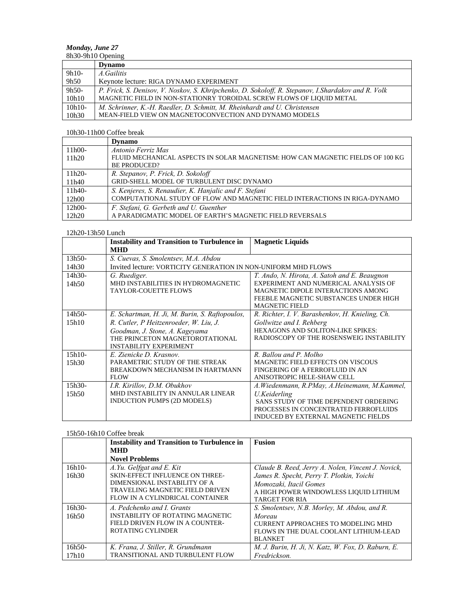# *Monday, June 27*

| 8h30-9h10 Opening |                                                                                                     |  |
|-------------------|-----------------------------------------------------------------------------------------------------|--|
|                   | <b>Dynamo</b>                                                                                       |  |
| $9h10-$           | A. Gailitis                                                                                         |  |
| 9h50              | Keynote lecture: RIGA DYNAMO EXPERIMENT                                                             |  |
| 9h50-             | P. Frick, S. Denisov, V. Noskov, S. Khripchenko, D. Sokoloff, R. Stepanov, I. Shardakov and R. Volk |  |
| 10h10             | MAGNETIC FIELD IN NON-STATIONRY TOROIDAL SCREW FLOWS OF LIQUID METAL                                |  |
| $10h10-$          | M. Schrinner, K.-H. Raedler, D. Schmitt, M. Rheinhardt and U. Christensen                           |  |
| 10h30             | MEAN-FIELD VIEW ON MAGNETOCONVECTION AND DYNAMO MODELS                                              |  |

## 10h30-11h00 Coffee break

|                   | <b>Dynamo</b>                                                                                         |
|-------------------|-------------------------------------------------------------------------------------------------------|
| $11h00-$          | Antonio Ferriz Mas                                                                                    |
| 11h20             | FLUID MECHANICAL ASPECTS IN SOLAR MAGNETISM: HOW CAN MAGNETIC FIELDS OF 100 KG<br><b>BE PRODUCED?</b> |
| $11h20-$<br>11h40 | R. Stepanov, P. Frick, D. Sokoloff<br>GRID-SHELL MODEL OF TURBULENT DISC DYNAMO                       |
| $11h40-$          | S. Kenjeres, S. Renaudier, K. Hanjalic and F. Stefani                                                 |
| 12h00             | COMPUTATIONAL STUDY OF FLOW AND MAGNETIC FIELD INTERACTIONS IN RIGA-DYNAMO                            |
| $12h00-$          | F. Stefani, G. Gerbeth and U. Guenther                                                                |
| 12h20             | A PARADIGMATIC MODEL OF EARTH'S MAGNETIC FIELD REVERSALS                                              |

## 12h20-13h50 Lunch

|          | <b>Instability and Transition to Turbulence in</b>             | <b>Magnetic Liquids</b>                         |
|----------|----------------------------------------------------------------|-------------------------------------------------|
|          | <b>MHD</b>                                                     |                                                 |
| $13h50-$ | S. Cuevas, S. Smolentsev, M.A. Abdou                           |                                                 |
| 14h30    | Invited lecture: VORTICITY GENERATION IN NON-UNIFORM MHD FLOWS |                                                 |
| 14h30-   | G. Ruediger.                                                   | T. Ando, N. Hirota, A. Satoh and E. Beaugnon    |
| 14h50    | MHD INSTABILITIES IN HYDROMAGNETIC                             | EXPERIMENT AND NUMERICAL ANALYSIS OF            |
|          | <b>TAYLOR-COUETTE FLOWS</b>                                    | MAGNETIC DIPOLE INTERACTIONS AMONG              |
|          |                                                                | FEEBLE MAGNETIC SUBSTANCES UNDER HIGH           |
|          |                                                                | <b>MAGNETIC FIELD</b>                           |
| $14h50-$ | E. Schartman, H. Ji, M. Burin, S. Raftopoulos,                 | R. Richter, I. V. Barashenkov, H. Knieling, Ch. |
| 15h10    | R. Cutler, P Heitzenroeder, W. Liu, J.                         | Gollwitze and I. Rehberg                        |
|          | Goodman, J. Stone, A. Kageyama                                 | HEXAGONS AND SOLITON-LIKE SPIKES:               |
|          | THE PRINCETON MAGNETOROTATIONAL                                | RADIOSCOPY OF THE ROSENSWEIG INSTABILITY        |
|          | <b>INSTABILITY EXPERIMENT</b>                                  |                                                 |
| $15h10-$ | E. Zienicke D. Krasnov.                                        | R. Ballou and P. Molho                          |
| 15h30    | PARAMETRIC STUDY OF THE STREAK                                 | <b>MAGNETIC FIELD EFFECTS ON VISCOUS</b>        |
|          | BREAKDOWN MECHANISM IN HARTMANN                                | FINGERING OF A FERROFLUID IN AN                 |
|          | <b>FLOW</b>                                                    | ANISOTROPIC HELE-SHAW CELL                      |
| $15h30-$ | I.R. Kirillov, D.M. Obukhov                                    | A.Wiedenmann, R.PMay, A.Heinemann, M.Kammel,    |
| 15h50    | MHD INSTABILITY IN ANNULAR LINEAR                              | U.Keiderling                                    |
|          | INDUCTION PUMPS (2D MODELS)                                    | SANS STUDY OF TIME DEPENDENT ORDERING           |
|          |                                                                | PROCESSES IN CONCENTRATED FERROFLUIDS           |
|          |                                                                | INDUCED BY EXTERNAL MAGNETIC FIELDS             |

### 15h50-16h10 Coffee break

|          | <b>Instability and Transition to Turbulence in</b> | <b>Fusion</b>                                      |
|----------|----------------------------------------------------|----------------------------------------------------|
|          | <b>MHD</b>                                         |                                                    |
|          | <b>Novel Problems</b>                              |                                                    |
| $16h10-$ | A.Yu. Gelfgat and E. Kit                           | Claude B. Reed, Jerry A. Nolen, Vincent J. Novick, |
| 16h30    | <b>SKIN-EFFECT INFLUENCE ON THREE-</b>             | James R. Specht, Perry T. Plotkin, Yoichi          |
|          | DIMENSIONAL INSTABILITY OF A                       | Momozaki, Itacil Gomes                             |
|          | TRAVELING MAGNETIC FIELD DRIVEN                    | A HIGH POWER WINDOWLESS LIQUID LITHIUM             |
|          | FLOW IN A CYLINDRICAL CONTAINER                    | <b>TARGET FOR RIA</b>                              |
| $16h30-$ | A. Pedchenko and I. Grants                         | S. Smolentsev, N.B. Morley, M. Abdou, and R.       |
| 16h50    | INSTABILITY OF ROTATING MAGNETIC                   | Moreau                                             |
|          | FIELD DRIVEN FLOW IN A COUNTER-                    | CURRENT APPROACHES TO MODELING MHD                 |
|          | ROTATING CYLINDER                                  | FLOWS IN THE DUAL COOLANT LITHIUM-LEAD             |
|          |                                                    | <b>BLANKET</b>                                     |
| $16h50-$ | K. Frana, J. Stiller, R. Grundmann                 | M. J. Burin, H. Ji, N. Katz, W. Fox, D. Raburn, E. |
| 17h10    | TRANSITIONAL AND TURBULENT FLOW                    | Fredrickson.                                       |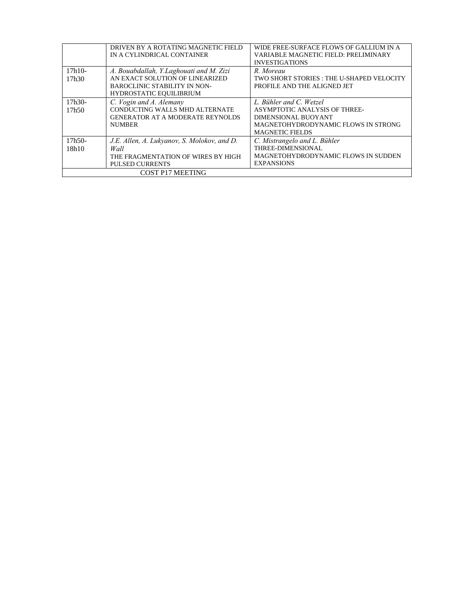|          | DRIVEN BY A ROTATING MAGNETIC FIELD<br>IN A CYLINDRICAL CONTAINER | WIDE FREE-SURFACE FLOWS OF GALLIUM IN A<br>VARIABLE MAGNETIC FIELD: PRELIMINARY |  |
|----------|-------------------------------------------------------------------|---------------------------------------------------------------------------------|--|
|          |                                                                   | <b>INVESTIGATIONS</b>                                                           |  |
| $17h10-$ | A. Bouabdallah, Y.Laghouati and M. Zizi                           | R. Moreau                                                                       |  |
| 17h30    | AN EXACT SOLUTION OF LINEARIZED                                   | TWO SHORT STORIES: THE U-SHAPED VELOCITY                                        |  |
|          | BAROCLINIC STABILITY IN NON-                                      | PROFILE AND THE ALIGNED JET                                                     |  |
|          | <b>HYDROSTATIC EQUILIBRIUM</b>                                    |                                                                                 |  |
| $17h30-$ | C. Vogin and A. Alemany                                           | L. Bühler and C. Wetzel                                                         |  |
| 17h50    | CONDUCTING WALLS MHD ALTERNATE                                    | ASYMPTOTIC ANALYSIS OF THREE-                                                   |  |
|          | <b>GENERATOR AT A MODERATE REYNOLDS</b>                           | DIMENSIONAL BUOYANT                                                             |  |
|          | <b>NUMBER</b>                                                     | MAGNETOHYDRODYNAMIC FLOWS IN STRONG                                             |  |
|          |                                                                   | <b>MAGNETIC FIELDS</b>                                                          |  |
| $17h50-$ | J.E. Allen, A. Lukvanov, S. Molokov, and D.                       | C. Mistrangelo and L. Bühler                                                    |  |
| 18h10    | Wall                                                              | THREE-DIMENSIONAL                                                               |  |
|          | THE FRAGMENTATION OF WIRES BY HIGH                                | MAGNETOHYDRODYNAMIC FLOWS IN SUDDEN                                             |  |
|          | <b>PULSED CURRENTS</b>                                            | <b>EXPANSIONS</b>                                                               |  |
|          | <b>COST P17 MEETING</b>                                           |                                                                                 |  |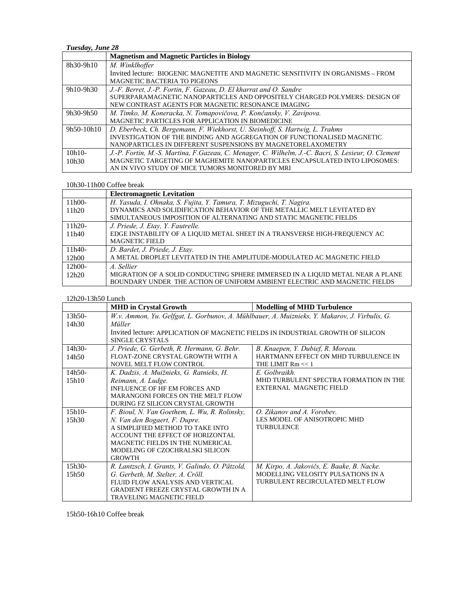## *Tuesday, June 28*

|            | <b>Magnetism and Magnetic Particles in Biology</b>                                                 |  |
|------------|----------------------------------------------------------------------------------------------------|--|
| 8h30-9h10  | M. Winklhoffer                                                                                     |  |
|            | Invited lecture: BIOGENIC MAGNETITE AND MAGNETIC SENSITIVITY IN ORGANISMS – FROM                   |  |
|            | <b>MAGNETIC BACTERIA TO PIGEONS</b>                                                                |  |
| 9h10-9h30  | J.-F. Berret, J.-P. Fortin, F. Gazeau, D. El kharrat and O. Sandre                                 |  |
|            | SUPERPARAMAGNETIC NANOPARTICLES AND OPPOSITELY CHARGED POLYMERS: DESIGN OF                         |  |
|            | NEW CONTRAST AGENTS FOR MAGNETIC RESONANCE IMAGING                                                 |  |
| 9h30-9h50  | M. Timko, M. Koneracka, N. Tomapovičova, P. Končansky, V. Zavipova.                                |  |
|            | MAGNETIC PARTICLES FOR APPLICATION IN BIOMEDICINE                                                  |  |
| 9h50-10h10 | D. Eberbeck, Ch. Bergemann, F. Wiekhorst, U. Steinhoff, S. Hartwig, L. Trahms                      |  |
|            | INVESTIGATION OF THE BINDING AND AGGREGATION OF FUNCTIONALISED MAGNETIC                            |  |
|            | NANOPARTICLES IN DIFFERENT SUSPENSIONS BY MAGNETORELAXOMETRY                                       |  |
| $10h10-$   | J.-P. Fortin, M.-S. Martina, F.Gazeau, C. Menager, C. Wilhelm, J.-C. Bacri, S. Lesieur, O. Clement |  |
| 10h30      | MAGNETIC TARGETING OF MAGHEMITE NANOPARTICLES ENCAPSULATED INTO LIPOSOMES:                         |  |
|            | AN IN VIVO STUDY OF MICE TUMORS MONITORED BY MRI                                                   |  |

#### 10h30-11h00 Coffee break

|          | <b>Electromagnetic Levitation</b>                                              |
|----------|--------------------------------------------------------------------------------|
| $11h00-$ | H. Yasuda, I. Ohnaka, S. Fujita, Y. Tamura, T. Mizuguchi, T. Nagira.           |
| 11h20    | DYNAMICS AND SOLIDIFICATION BEHAVIOR OF THE METALLIC MELT LEVITATED BY         |
|          | SIMULTANEOUS IMPOSITION OF ALTERNATING AND STATIC MAGNETIC FIELDS              |
| $11h20-$ | J. Priede, J. Etay, Y. Fautrelle.                                              |
| 11h40    | EDGE INSTABILITY OF A LIQUID METAL SHEET IN A TRANSVERSE HIGH-FREQUENCY AC     |
|          | <b>MAGNETIC FIELD</b>                                                          |
| $11h40-$ | D. Bardet, J. Priede, J. Etay.                                                 |
| 12h00    | A METAL DROPLET LEVITATED IN THE AMPLITUDE-MODULATED AC MAGNETIC FIELD         |
| $12h00-$ | A. Sellier                                                                     |
| 12h20    | MIGRATION OF A SOLID CONDUCTING SPHERE IMMERSED IN A LIQUID METAL NEAR A PLANE |
|          | BOUNDARY UNDER THE ACTION OF UNIFORM AMBIENT ELECTRIC AND MAGNETIC FIELDS      |

#### 12h20-13h50 Lunch

|          | <b>MHD</b> in Crystal Growth                                                                  | <b>Modelling of MHD Turbulence</b>         |  |
|----------|-----------------------------------------------------------------------------------------------|--------------------------------------------|--|
| 13h50-   | W.v. Ammon, Yu. Gelfgat, L. Gorbunov, A. Mühlbauer, A. Muiznieks, Y. Makarov, J. Virbulis, G. |                                            |  |
| 14h30    | Müller                                                                                        |                                            |  |
|          | Invited lecture: APPLICATION OF MAGNETIC FIELDS IN INDUSTRIAL GROWTH OF SILICON               |                                            |  |
|          | SINGLE CRYSTALS                                                                               |                                            |  |
| 14h30-   | J. Priede, G. Gerbeth, R. Hermann, G. Behr.                                                   | B. Knaepen, Y. Dubief, R. Moreau.          |  |
| 14h50    | FLOAT-ZONE CRYSTAL GROWTH WITH A                                                              | HARTMANN EFFECT ON MHD TURBULENCE IN       |  |
|          | NOVEL MELT FLOW CONTROL                                                                       | THE LIMIT $Rm \ll 1$                       |  |
| $14h50-$ | K. Dadzis, A. Muižnieks, G. Ratnieks, H.                                                      | E. Golbraikh.                              |  |
| 15h10    | Reimann, A. Ludge.                                                                            | MHD TURBULENT SPECTRA FORMATION IN THE     |  |
|          | INFLUENCE OF HF EM FORCES AND                                                                 | EXTERNAL MAGNETIC FIELD                    |  |
|          | MARANGONI FORCES ON THE MELT FLOW                                                             |                                            |  |
|          | DURING FZ SILICON CRYSTAL GROWTH                                                              |                                            |  |
| $15h10-$ | F. Bioul, N. Van Goethem, L. Wu, R. Rolinsky,                                                 | O. Zikanov and A. Vorobev.                 |  |
| 15h30    | N. Van den Bogaert, F. Dupre.                                                                 | LES MODEL OF ANISOTROPIC MHD               |  |
|          | A SIMPLIFIED METHOD TO TAKE INTO                                                              | <b>TURBULENCE</b>                          |  |
|          | ACCOUNT THE EFFECT OF HORIZONTAL                                                              |                                            |  |
|          | MAGNETIC FIELDS IN THE NUMERICAL                                                              |                                            |  |
|          | MODELING OF CZOCHRALSKI SILICON                                                               |                                            |  |
|          | <b>GROWTH</b>                                                                                 |                                            |  |
| $15h30-$ | R. Lantzsch, I. Grants, V. Galindo, O. Pätzold,                                               | M. Kirpo, A. Jakovičs, E. Baake, B. Nacke. |  |
| 15h50    | G. Gerbeth, M. Stelter, A. Cröll.                                                             | MODELLING VELOSITY PULSATIONS IN A         |  |
|          | FLUID FLOW ANALYSIS AND VERTICAL                                                              | TURBULENT RECIRCULATED MELT FLOW           |  |
|          | <b>GRADIENT FREEZE CRYSTAL GROWTH IN A</b>                                                    |                                            |  |
|          | <b>TRAVELING MAGNETIC FIELD</b>                                                               |                                            |  |

15h50-16h10 Coffee break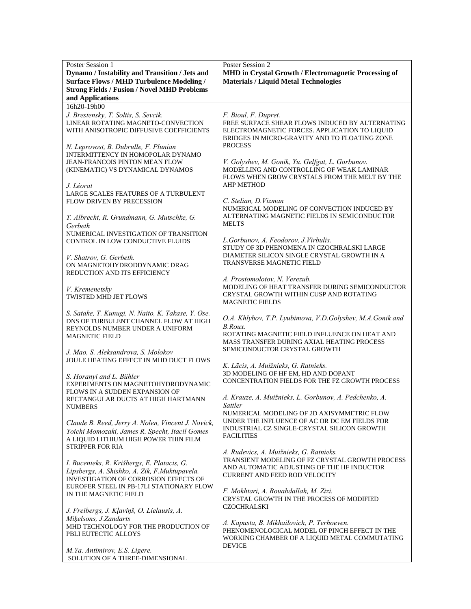| MHD in Crystal Growth / Electromagnetic Processing of<br>Dynamo / Instability and Transition / Jets and<br><b>Surface Flows / MHD Turbulence Modeling /</b><br><b>Materials / Liquid Metal Technologies</b><br><b>Strong Fields / Fusion / Novel MHD Problems</b><br>and Applications<br>16h20-19h00<br>J. Brestensky, T. Soltis, S. Sevcik.<br>F. Bioul, F. Dupret.<br>LINEAR ROTATING MAGNETO-CONVECTION<br>FREE SURFACE SHEAR FLOWS INDUCED BY ALTERNATING<br>WITH ANISOTROPIC DIFFUSIVE COEFFICIENTS<br>ELECTROMAGNETIC FORCES. APPLICATION TO LIQUID<br>BRIDGES IN MICRO-GRAVITY AND TO FLOATING ZONE<br><b>PROCESS</b><br>N. Leprovost, B. Dubrulle, F. Plunian<br>INTERMITTENCY IN HOMOPOLAR DYNAMO<br>V. Golyshev, M. Gonik, Yu. Gelfgat, L. Gorbunov.<br>JEAN-FRANCOIS PINTON MEAN FLOW<br>MODELLING AND CONTROLLING OF WEAK LAMINAR<br>(KINEMATIC) VS DYNAMICAL DYNAMOS<br>FLOWS WHEN GROW CRYSTALS FROM THE MELT BY THE<br><b>AHP METHOD</b><br>J. Léorat<br>LARGE SCALES FEATURES OF A TURBULENT<br>C. Stelian, D. Vizman<br><b>FLOW DRIVEN BY PRECESSION</b><br>NUMERICAL MODELING OF CONVECTION INDUCED BY<br>ALTERNATING MAGNETIC FIELDS IN SEMICONDUCTOR<br>T. Albrecht, R. Grundmann, G. Mutschke, G.<br><b>MELTS</b><br>Gerbeth<br>NUMERICAL INVESTIGATION OF TRANSITION<br>L.Gorbunov, A. Feodorov, J.Virbulis.<br>CONTROL IN LOW CONDUCTIVE FLUIDS<br>STUDY OF 3D PHENOMENA IN CZOCHRALSKI LARGE<br>DIAMETER SILICON SINGLE CRYSTAL GROWTH IN A<br>V. Shatrov, G. Gerbeth.<br>TRANSVERSE MAGNETIC FIELD<br>ON MAGNETOHYDRODDYNAMIC DRAG<br>REDUCTION AND ITS EFFICIENCY<br>A. Prostomolotov, N. Verezub.<br>MODELING OF HEAT TRANSFER DURING SEMICONDUCTOR<br>V. Kremenetsky<br>CRYSTAL GROWTH WITHIN CUSP AND ROTATING<br>TWISTED MHD JET FLOWS<br><b>MAGNETIC FIELDS</b><br>S. Satake, T. Kunugi, N. Naito, K. Takase, Y. Ose.<br>O.A. Khlybov, T.P. Lyubimova, V.D. Golyshev, M.A. Gonik and<br>DNS OF TURBULENT CHANNEL FLOW AT HIGH<br>B.Roux.<br>REYNOLDS NUMBER UNDER A UNIFORM<br>ROTATING MAGNETIC FIELD INFLUENCE ON HEAT AND<br>MAGNETIC FIELD<br>MASS TRANSFER DURING AXIAL HEATING PROCESS<br>SEMICONDUCTOR CRYSTAL GROWTH<br>J. Mao, S. Aleksandrova, S. Molokov<br>JOULE HEATING EFFECT IN MHD DUCT FLOWS<br>K. Lācis, A. Muižnieks, G. Ratnieks.<br>3D MODELING OF HF EM, HD AND DOPANT<br>S. Horanyi and L. Bühler<br>CONCENTRATION FIELDS FOR THE FZ GROWTH PROCESS<br>EXPERIMENTS ON MAGNETOHYDRODYNAMIC<br>FLOWS IN A SUDDEN EXPANSION OF<br>A. Krauze, A. Muižnieks, L. Gorbunov, A. Pedchenko, A.<br>RECTANGULAR DUCTS AT HIGH HARTMANN<br>Sattler<br><b>NUMBERS</b><br>NUMERICAL MODELING OF 2D AXISYMMETRIC FLOW<br>UNDER THE INFLUENCE OF AC OR DC EM FIELDS FOR<br>Claude B. Reed, Jerry A. Nolen, Vincent J. Novick,<br>INDUSTRIAL CZ SINGLE-CRYSTAL SILICON GROWTH<br>Yoichi Momozaki, James R. Specht, Itacil Gomes<br><b>FACILITIES</b><br>A LIQUID LITHIUM HIGH POWER THIN FILM<br><b>STRIPPER FOR RIA</b><br>A. Rudevics, A. Muižnieks, G. Ratnieks.<br>TRANSIENT MODELING OF FZ CRYSTAL GROWTH PROCESS<br>I. Bucenieks, R. Krišbergs, E. Platacis, G.<br>AND AUTOMATIC ADJUSTING OF THE HF INDUCTOR<br>Lipsbergs, A. Shishko, A. Zik, F.Muktupavela.<br><b>CURRENT AND FEED ROD VELOCITY</b><br><b>INVESTIGATION OF CORROSION EFFECTS OF</b><br>EUROFER STEEL IN PB-17LI STATIONARY FLOW<br>F. Mokhtari, A. Bouabdallah, M. Zizi.<br>IN THE MAGNETIC FIELD<br>CRYSTAL GROWTH IN THE PROCESS OF MODIFIED<br><b>CZOCHRALSKI</b><br>J. Freibergs, J. Kļaviņš, O. Lielausis, A.<br>Miķelsons, J.Zandarts<br>A. Kapusta, B. Mikhailovich, P. Terhoeven.<br>MHD TECHNOLOGY FOR THE PRODUCTION OF<br>PHENOMENOLOGICAL MODEL OF PINCH EFFECT IN THE<br>PBLI EUTECTIC ALLOYS<br>WORKING CHAMBER OF A LIQUID METAL COMMUTATING<br><b>DEVICE</b><br>M.Ya. Antimirov, E.S. Ligere. | Poster Session 1                | Poster Session 2 |
|-----------------------------------------------------------------------------------------------------------------------------------------------------------------------------------------------------------------------------------------------------------------------------------------------------------------------------------------------------------------------------------------------------------------------------------------------------------------------------------------------------------------------------------------------------------------------------------------------------------------------------------------------------------------------------------------------------------------------------------------------------------------------------------------------------------------------------------------------------------------------------------------------------------------------------------------------------------------------------------------------------------------------------------------------------------------------------------------------------------------------------------------------------------------------------------------------------------------------------------------------------------------------------------------------------------------------------------------------------------------------------------------------------------------------------------------------------------------------------------------------------------------------------------------------------------------------------------------------------------------------------------------------------------------------------------------------------------------------------------------------------------------------------------------------------------------------------------------------------------------------------------------------------------------------------------------------------------------------------------------------------------------------------------------------------------------------------------------------------------------------------------------------------------------------------------------------------------------------------------------------------------------------------------------------------------------------------------------------------------------------------------------------------------------------------------------------------------------------------------------------------------------------------------------------------------------------------------------------------------------------------------------------------------------------------------------------------------------------------------------------------------------------------------------------------------------------------------------------------------------------------------------------------------------------------------------------------------------------------------------------------------------------------------------------------------------------------------------------------------------------------------------------------------------------------------------------------------------------------------------------------------------------------------------------------------------------------------------------------------------------------------------------------------------------------------------------------------------------------------------------------------------------------------------------------------------------------------------------------------------------------------------------------------------------------------------------------------------------------------------------------------------------------------------------------------------------------|---------------------------------|------------------|
|                                                                                                                                                                                                                                                                                                                                                                                                                                                                                                                                                                                                                                                                                                                                                                                                                                                                                                                                                                                                                                                                                                                                                                                                                                                                                                                                                                                                                                                                                                                                                                                                                                                                                                                                                                                                                                                                                                                                                                                                                                                                                                                                                                                                                                                                                                                                                                                                                                                                                                                                                                                                                                                                                                                                                                                                                                                                                                                                                                                                                                                                                                                                                                                                                                                                                                                                                                                                                                                                                                                                                                                                                                                                                                                                                                                                                             |                                 |                  |
|                                                                                                                                                                                                                                                                                                                                                                                                                                                                                                                                                                                                                                                                                                                                                                                                                                                                                                                                                                                                                                                                                                                                                                                                                                                                                                                                                                                                                                                                                                                                                                                                                                                                                                                                                                                                                                                                                                                                                                                                                                                                                                                                                                                                                                                                                                                                                                                                                                                                                                                                                                                                                                                                                                                                                                                                                                                                                                                                                                                                                                                                                                                                                                                                                                                                                                                                                                                                                                                                                                                                                                                                                                                                                                                                                                                                                             |                                 |                  |
|                                                                                                                                                                                                                                                                                                                                                                                                                                                                                                                                                                                                                                                                                                                                                                                                                                                                                                                                                                                                                                                                                                                                                                                                                                                                                                                                                                                                                                                                                                                                                                                                                                                                                                                                                                                                                                                                                                                                                                                                                                                                                                                                                                                                                                                                                                                                                                                                                                                                                                                                                                                                                                                                                                                                                                                                                                                                                                                                                                                                                                                                                                                                                                                                                                                                                                                                                                                                                                                                                                                                                                                                                                                                                                                                                                                                                             |                                 |                  |
|                                                                                                                                                                                                                                                                                                                                                                                                                                                                                                                                                                                                                                                                                                                                                                                                                                                                                                                                                                                                                                                                                                                                                                                                                                                                                                                                                                                                                                                                                                                                                                                                                                                                                                                                                                                                                                                                                                                                                                                                                                                                                                                                                                                                                                                                                                                                                                                                                                                                                                                                                                                                                                                                                                                                                                                                                                                                                                                                                                                                                                                                                                                                                                                                                                                                                                                                                                                                                                                                                                                                                                                                                                                                                                                                                                                                                             |                                 |                  |
|                                                                                                                                                                                                                                                                                                                                                                                                                                                                                                                                                                                                                                                                                                                                                                                                                                                                                                                                                                                                                                                                                                                                                                                                                                                                                                                                                                                                                                                                                                                                                                                                                                                                                                                                                                                                                                                                                                                                                                                                                                                                                                                                                                                                                                                                                                                                                                                                                                                                                                                                                                                                                                                                                                                                                                                                                                                                                                                                                                                                                                                                                                                                                                                                                                                                                                                                                                                                                                                                                                                                                                                                                                                                                                                                                                                                                             |                                 |                  |
|                                                                                                                                                                                                                                                                                                                                                                                                                                                                                                                                                                                                                                                                                                                                                                                                                                                                                                                                                                                                                                                                                                                                                                                                                                                                                                                                                                                                                                                                                                                                                                                                                                                                                                                                                                                                                                                                                                                                                                                                                                                                                                                                                                                                                                                                                                                                                                                                                                                                                                                                                                                                                                                                                                                                                                                                                                                                                                                                                                                                                                                                                                                                                                                                                                                                                                                                                                                                                                                                                                                                                                                                                                                                                                                                                                                                                             |                                 |                  |
|                                                                                                                                                                                                                                                                                                                                                                                                                                                                                                                                                                                                                                                                                                                                                                                                                                                                                                                                                                                                                                                                                                                                                                                                                                                                                                                                                                                                                                                                                                                                                                                                                                                                                                                                                                                                                                                                                                                                                                                                                                                                                                                                                                                                                                                                                                                                                                                                                                                                                                                                                                                                                                                                                                                                                                                                                                                                                                                                                                                                                                                                                                                                                                                                                                                                                                                                                                                                                                                                                                                                                                                                                                                                                                                                                                                                                             |                                 |                  |
|                                                                                                                                                                                                                                                                                                                                                                                                                                                                                                                                                                                                                                                                                                                                                                                                                                                                                                                                                                                                                                                                                                                                                                                                                                                                                                                                                                                                                                                                                                                                                                                                                                                                                                                                                                                                                                                                                                                                                                                                                                                                                                                                                                                                                                                                                                                                                                                                                                                                                                                                                                                                                                                                                                                                                                                                                                                                                                                                                                                                                                                                                                                                                                                                                                                                                                                                                                                                                                                                                                                                                                                                                                                                                                                                                                                                                             |                                 |                  |
|                                                                                                                                                                                                                                                                                                                                                                                                                                                                                                                                                                                                                                                                                                                                                                                                                                                                                                                                                                                                                                                                                                                                                                                                                                                                                                                                                                                                                                                                                                                                                                                                                                                                                                                                                                                                                                                                                                                                                                                                                                                                                                                                                                                                                                                                                                                                                                                                                                                                                                                                                                                                                                                                                                                                                                                                                                                                                                                                                                                                                                                                                                                                                                                                                                                                                                                                                                                                                                                                                                                                                                                                                                                                                                                                                                                                                             |                                 |                  |
|                                                                                                                                                                                                                                                                                                                                                                                                                                                                                                                                                                                                                                                                                                                                                                                                                                                                                                                                                                                                                                                                                                                                                                                                                                                                                                                                                                                                                                                                                                                                                                                                                                                                                                                                                                                                                                                                                                                                                                                                                                                                                                                                                                                                                                                                                                                                                                                                                                                                                                                                                                                                                                                                                                                                                                                                                                                                                                                                                                                                                                                                                                                                                                                                                                                                                                                                                                                                                                                                                                                                                                                                                                                                                                                                                                                                                             |                                 |                  |
|                                                                                                                                                                                                                                                                                                                                                                                                                                                                                                                                                                                                                                                                                                                                                                                                                                                                                                                                                                                                                                                                                                                                                                                                                                                                                                                                                                                                                                                                                                                                                                                                                                                                                                                                                                                                                                                                                                                                                                                                                                                                                                                                                                                                                                                                                                                                                                                                                                                                                                                                                                                                                                                                                                                                                                                                                                                                                                                                                                                                                                                                                                                                                                                                                                                                                                                                                                                                                                                                                                                                                                                                                                                                                                                                                                                                                             |                                 |                  |
|                                                                                                                                                                                                                                                                                                                                                                                                                                                                                                                                                                                                                                                                                                                                                                                                                                                                                                                                                                                                                                                                                                                                                                                                                                                                                                                                                                                                                                                                                                                                                                                                                                                                                                                                                                                                                                                                                                                                                                                                                                                                                                                                                                                                                                                                                                                                                                                                                                                                                                                                                                                                                                                                                                                                                                                                                                                                                                                                                                                                                                                                                                                                                                                                                                                                                                                                                                                                                                                                                                                                                                                                                                                                                                                                                                                                                             |                                 |                  |
|                                                                                                                                                                                                                                                                                                                                                                                                                                                                                                                                                                                                                                                                                                                                                                                                                                                                                                                                                                                                                                                                                                                                                                                                                                                                                                                                                                                                                                                                                                                                                                                                                                                                                                                                                                                                                                                                                                                                                                                                                                                                                                                                                                                                                                                                                                                                                                                                                                                                                                                                                                                                                                                                                                                                                                                                                                                                                                                                                                                                                                                                                                                                                                                                                                                                                                                                                                                                                                                                                                                                                                                                                                                                                                                                                                                                                             |                                 |                  |
|                                                                                                                                                                                                                                                                                                                                                                                                                                                                                                                                                                                                                                                                                                                                                                                                                                                                                                                                                                                                                                                                                                                                                                                                                                                                                                                                                                                                                                                                                                                                                                                                                                                                                                                                                                                                                                                                                                                                                                                                                                                                                                                                                                                                                                                                                                                                                                                                                                                                                                                                                                                                                                                                                                                                                                                                                                                                                                                                                                                                                                                                                                                                                                                                                                                                                                                                                                                                                                                                                                                                                                                                                                                                                                                                                                                                                             |                                 |                  |
|                                                                                                                                                                                                                                                                                                                                                                                                                                                                                                                                                                                                                                                                                                                                                                                                                                                                                                                                                                                                                                                                                                                                                                                                                                                                                                                                                                                                                                                                                                                                                                                                                                                                                                                                                                                                                                                                                                                                                                                                                                                                                                                                                                                                                                                                                                                                                                                                                                                                                                                                                                                                                                                                                                                                                                                                                                                                                                                                                                                                                                                                                                                                                                                                                                                                                                                                                                                                                                                                                                                                                                                                                                                                                                                                                                                                                             |                                 |                  |
|                                                                                                                                                                                                                                                                                                                                                                                                                                                                                                                                                                                                                                                                                                                                                                                                                                                                                                                                                                                                                                                                                                                                                                                                                                                                                                                                                                                                                                                                                                                                                                                                                                                                                                                                                                                                                                                                                                                                                                                                                                                                                                                                                                                                                                                                                                                                                                                                                                                                                                                                                                                                                                                                                                                                                                                                                                                                                                                                                                                                                                                                                                                                                                                                                                                                                                                                                                                                                                                                                                                                                                                                                                                                                                                                                                                                                             |                                 |                  |
|                                                                                                                                                                                                                                                                                                                                                                                                                                                                                                                                                                                                                                                                                                                                                                                                                                                                                                                                                                                                                                                                                                                                                                                                                                                                                                                                                                                                                                                                                                                                                                                                                                                                                                                                                                                                                                                                                                                                                                                                                                                                                                                                                                                                                                                                                                                                                                                                                                                                                                                                                                                                                                                                                                                                                                                                                                                                                                                                                                                                                                                                                                                                                                                                                                                                                                                                                                                                                                                                                                                                                                                                                                                                                                                                                                                                                             |                                 |                  |
|                                                                                                                                                                                                                                                                                                                                                                                                                                                                                                                                                                                                                                                                                                                                                                                                                                                                                                                                                                                                                                                                                                                                                                                                                                                                                                                                                                                                                                                                                                                                                                                                                                                                                                                                                                                                                                                                                                                                                                                                                                                                                                                                                                                                                                                                                                                                                                                                                                                                                                                                                                                                                                                                                                                                                                                                                                                                                                                                                                                                                                                                                                                                                                                                                                                                                                                                                                                                                                                                                                                                                                                                                                                                                                                                                                                                                             |                                 |                  |
|                                                                                                                                                                                                                                                                                                                                                                                                                                                                                                                                                                                                                                                                                                                                                                                                                                                                                                                                                                                                                                                                                                                                                                                                                                                                                                                                                                                                                                                                                                                                                                                                                                                                                                                                                                                                                                                                                                                                                                                                                                                                                                                                                                                                                                                                                                                                                                                                                                                                                                                                                                                                                                                                                                                                                                                                                                                                                                                                                                                                                                                                                                                                                                                                                                                                                                                                                                                                                                                                                                                                                                                                                                                                                                                                                                                                                             |                                 |                  |
|                                                                                                                                                                                                                                                                                                                                                                                                                                                                                                                                                                                                                                                                                                                                                                                                                                                                                                                                                                                                                                                                                                                                                                                                                                                                                                                                                                                                                                                                                                                                                                                                                                                                                                                                                                                                                                                                                                                                                                                                                                                                                                                                                                                                                                                                                                                                                                                                                                                                                                                                                                                                                                                                                                                                                                                                                                                                                                                                                                                                                                                                                                                                                                                                                                                                                                                                                                                                                                                                                                                                                                                                                                                                                                                                                                                                                             |                                 |                  |
|                                                                                                                                                                                                                                                                                                                                                                                                                                                                                                                                                                                                                                                                                                                                                                                                                                                                                                                                                                                                                                                                                                                                                                                                                                                                                                                                                                                                                                                                                                                                                                                                                                                                                                                                                                                                                                                                                                                                                                                                                                                                                                                                                                                                                                                                                                                                                                                                                                                                                                                                                                                                                                                                                                                                                                                                                                                                                                                                                                                                                                                                                                                                                                                                                                                                                                                                                                                                                                                                                                                                                                                                                                                                                                                                                                                                                             |                                 |                  |
|                                                                                                                                                                                                                                                                                                                                                                                                                                                                                                                                                                                                                                                                                                                                                                                                                                                                                                                                                                                                                                                                                                                                                                                                                                                                                                                                                                                                                                                                                                                                                                                                                                                                                                                                                                                                                                                                                                                                                                                                                                                                                                                                                                                                                                                                                                                                                                                                                                                                                                                                                                                                                                                                                                                                                                                                                                                                                                                                                                                                                                                                                                                                                                                                                                                                                                                                                                                                                                                                                                                                                                                                                                                                                                                                                                                                                             |                                 |                  |
|                                                                                                                                                                                                                                                                                                                                                                                                                                                                                                                                                                                                                                                                                                                                                                                                                                                                                                                                                                                                                                                                                                                                                                                                                                                                                                                                                                                                                                                                                                                                                                                                                                                                                                                                                                                                                                                                                                                                                                                                                                                                                                                                                                                                                                                                                                                                                                                                                                                                                                                                                                                                                                                                                                                                                                                                                                                                                                                                                                                                                                                                                                                                                                                                                                                                                                                                                                                                                                                                                                                                                                                                                                                                                                                                                                                                                             |                                 |                  |
|                                                                                                                                                                                                                                                                                                                                                                                                                                                                                                                                                                                                                                                                                                                                                                                                                                                                                                                                                                                                                                                                                                                                                                                                                                                                                                                                                                                                                                                                                                                                                                                                                                                                                                                                                                                                                                                                                                                                                                                                                                                                                                                                                                                                                                                                                                                                                                                                                                                                                                                                                                                                                                                                                                                                                                                                                                                                                                                                                                                                                                                                                                                                                                                                                                                                                                                                                                                                                                                                                                                                                                                                                                                                                                                                                                                                                             |                                 |                  |
|                                                                                                                                                                                                                                                                                                                                                                                                                                                                                                                                                                                                                                                                                                                                                                                                                                                                                                                                                                                                                                                                                                                                                                                                                                                                                                                                                                                                                                                                                                                                                                                                                                                                                                                                                                                                                                                                                                                                                                                                                                                                                                                                                                                                                                                                                                                                                                                                                                                                                                                                                                                                                                                                                                                                                                                                                                                                                                                                                                                                                                                                                                                                                                                                                                                                                                                                                                                                                                                                                                                                                                                                                                                                                                                                                                                                                             |                                 |                  |
|                                                                                                                                                                                                                                                                                                                                                                                                                                                                                                                                                                                                                                                                                                                                                                                                                                                                                                                                                                                                                                                                                                                                                                                                                                                                                                                                                                                                                                                                                                                                                                                                                                                                                                                                                                                                                                                                                                                                                                                                                                                                                                                                                                                                                                                                                                                                                                                                                                                                                                                                                                                                                                                                                                                                                                                                                                                                                                                                                                                                                                                                                                                                                                                                                                                                                                                                                                                                                                                                                                                                                                                                                                                                                                                                                                                                                             |                                 |                  |
|                                                                                                                                                                                                                                                                                                                                                                                                                                                                                                                                                                                                                                                                                                                                                                                                                                                                                                                                                                                                                                                                                                                                                                                                                                                                                                                                                                                                                                                                                                                                                                                                                                                                                                                                                                                                                                                                                                                                                                                                                                                                                                                                                                                                                                                                                                                                                                                                                                                                                                                                                                                                                                                                                                                                                                                                                                                                                                                                                                                                                                                                                                                                                                                                                                                                                                                                                                                                                                                                                                                                                                                                                                                                                                                                                                                                                             |                                 |                  |
|                                                                                                                                                                                                                                                                                                                                                                                                                                                                                                                                                                                                                                                                                                                                                                                                                                                                                                                                                                                                                                                                                                                                                                                                                                                                                                                                                                                                                                                                                                                                                                                                                                                                                                                                                                                                                                                                                                                                                                                                                                                                                                                                                                                                                                                                                                                                                                                                                                                                                                                                                                                                                                                                                                                                                                                                                                                                                                                                                                                                                                                                                                                                                                                                                                                                                                                                                                                                                                                                                                                                                                                                                                                                                                                                                                                                                             |                                 |                  |
|                                                                                                                                                                                                                                                                                                                                                                                                                                                                                                                                                                                                                                                                                                                                                                                                                                                                                                                                                                                                                                                                                                                                                                                                                                                                                                                                                                                                                                                                                                                                                                                                                                                                                                                                                                                                                                                                                                                                                                                                                                                                                                                                                                                                                                                                                                                                                                                                                                                                                                                                                                                                                                                                                                                                                                                                                                                                                                                                                                                                                                                                                                                                                                                                                                                                                                                                                                                                                                                                                                                                                                                                                                                                                                                                                                                                                             |                                 |                  |
|                                                                                                                                                                                                                                                                                                                                                                                                                                                                                                                                                                                                                                                                                                                                                                                                                                                                                                                                                                                                                                                                                                                                                                                                                                                                                                                                                                                                                                                                                                                                                                                                                                                                                                                                                                                                                                                                                                                                                                                                                                                                                                                                                                                                                                                                                                                                                                                                                                                                                                                                                                                                                                                                                                                                                                                                                                                                                                                                                                                                                                                                                                                                                                                                                                                                                                                                                                                                                                                                                                                                                                                                                                                                                                                                                                                                                             |                                 |                  |
|                                                                                                                                                                                                                                                                                                                                                                                                                                                                                                                                                                                                                                                                                                                                                                                                                                                                                                                                                                                                                                                                                                                                                                                                                                                                                                                                                                                                                                                                                                                                                                                                                                                                                                                                                                                                                                                                                                                                                                                                                                                                                                                                                                                                                                                                                                                                                                                                                                                                                                                                                                                                                                                                                                                                                                                                                                                                                                                                                                                                                                                                                                                                                                                                                                                                                                                                                                                                                                                                                                                                                                                                                                                                                                                                                                                                                             |                                 |                  |
|                                                                                                                                                                                                                                                                                                                                                                                                                                                                                                                                                                                                                                                                                                                                                                                                                                                                                                                                                                                                                                                                                                                                                                                                                                                                                                                                                                                                                                                                                                                                                                                                                                                                                                                                                                                                                                                                                                                                                                                                                                                                                                                                                                                                                                                                                                                                                                                                                                                                                                                                                                                                                                                                                                                                                                                                                                                                                                                                                                                                                                                                                                                                                                                                                                                                                                                                                                                                                                                                                                                                                                                                                                                                                                                                                                                                                             |                                 |                  |
|                                                                                                                                                                                                                                                                                                                                                                                                                                                                                                                                                                                                                                                                                                                                                                                                                                                                                                                                                                                                                                                                                                                                                                                                                                                                                                                                                                                                                                                                                                                                                                                                                                                                                                                                                                                                                                                                                                                                                                                                                                                                                                                                                                                                                                                                                                                                                                                                                                                                                                                                                                                                                                                                                                                                                                                                                                                                                                                                                                                                                                                                                                                                                                                                                                                                                                                                                                                                                                                                                                                                                                                                                                                                                                                                                                                                                             |                                 |                  |
|                                                                                                                                                                                                                                                                                                                                                                                                                                                                                                                                                                                                                                                                                                                                                                                                                                                                                                                                                                                                                                                                                                                                                                                                                                                                                                                                                                                                                                                                                                                                                                                                                                                                                                                                                                                                                                                                                                                                                                                                                                                                                                                                                                                                                                                                                                                                                                                                                                                                                                                                                                                                                                                                                                                                                                                                                                                                                                                                                                                                                                                                                                                                                                                                                                                                                                                                                                                                                                                                                                                                                                                                                                                                                                                                                                                                                             |                                 |                  |
|                                                                                                                                                                                                                                                                                                                                                                                                                                                                                                                                                                                                                                                                                                                                                                                                                                                                                                                                                                                                                                                                                                                                                                                                                                                                                                                                                                                                                                                                                                                                                                                                                                                                                                                                                                                                                                                                                                                                                                                                                                                                                                                                                                                                                                                                                                                                                                                                                                                                                                                                                                                                                                                                                                                                                                                                                                                                                                                                                                                                                                                                                                                                                                                                                                                                                                                                                                                                                                                                                                                                                                                                                                                                                                                                                                                                                             |                                 |                  |
|                                                                                                                                                                                                                                                                                                                                                                                                                                                                                                                                                                                                                                                                                                                                                                                                                                                                                                                                                                                                                                                                                                                                                                                                                                                                                                                                                                                                                                                                                                                                                                                                                                                                                                                                                                                                                                                                                                                                                                                                                                                                                                                                                                                                                                                                                                                                                                                                                                                                                                                                                                                                                                                                                                                                                                                                                                                                                                                                                                                                                                                                                                                                                                                                                                                                                                                                                                                                                                                                                                                                                                                                                                                                                                                                                                                                                             |                                 |                  |
|                                                                                                                                                                                                                                                                                                                                                                                                                                                                                                                                                                                                                                                                                                                                                                                                                                                                                                                                                                                                                                                                                                                                                                                                                                                                                                                                                                                                                                                                                                                                                                                                                                                                                                                                                                                                                                                                                                                                                                                                                                                                                                                                                                                                                                                                                                                                                                                                                                                                                                                                                                                                                                                                                                                                                                                                                                                                                                                                                                                                                                                                                                                                                                                                                                                                                                                                                                                                                                                                                                                                                                                                                                                                                                                                                                                                                             |                                 |                  |
|                                                                                                                                                                                                                                                                                                                                                                                                                                                                                                                                                                                                                                                                                                                                                                                                                                                                                                                                                                                                                                                                                                                                                                                                                                                                                                                                                                                                                                                                                                                                                                                                                                                                                                                                                                                                                                                                                                                                                                                                                                                                                                                                                                                                                                                                                                                                                                                                                                                                                                                                                                                                                                                                                                                                                                                                                                                                                                                                                                                                                                                                                                                                                                                                                                                                                                                                                                                                                                                                                                                                                                                                                                                                                                                                                                                                                             |                                 |                  |
|                                                                                                                                                                                                                                                                                                                                                                                                                                                                                                                                                                                                                                                                                                                                                                                                                                                                                                                                                                                                                                                                                                                                                                                                                                                                                                                                                                                                                                                                                                                                                                                                                                                                                                                                                                                                                                                                                                                                                                                                                                                                                                                                                                                                                                                                                                                                                                                                                                                                                                                                                                                                                                                                                                                                                                                                                                                                                                                                                                                                                                                                                                                                                                                                                                                                                                                                                                                                                                                                                                                                                                                                                                                                                                                                                                                                                             |                                 |                  |
|                                                                                                                                                                                                                                                                                                                                                                                                                                                                                                                                                                                                                                                                                                                                                                                                                                                                                                                                                                                                                                                                                                                                                                                                                                                                                                                                                                                                                                                                                                                                                                                                                                                                                                                                                                                                                                                                                                                                                                                                                                                                                                                                                                                                                                                                                                                                                                                                                                                                                                                                                                                                                                                                                                                                                                                                                                                                                                                                                                                                                                                                                                                                                                                                                                                                                                                                                                                                                                                                                                                                                                                                                                                                                                                                                                                                                             |                                 |                  |
|                                                                                                                                                                                                                                                                                                                                                                                                                                                                                                                                                                                                                                                                                                                                                                                                                                                                                                                                                                                                                                                                                                                                                                                                                                                                                                                                                                                                                                                                                                                                                                                                                                                                                                                                                                                                                                                                                                                                                                                                                                                                                                                                                                                                                                                                                                                                                                                                                                                                                                                                                                                                                                                                                                                                                                                                                                                                                                                                                                                                                                                                                                                                                                                                                                                                                                                                                                                                                                                                                                                                                                                                                                                                                                                                                                                                                             |                                 |                  |
|                                                                                                                                                                                                                                                                                                                                                                                                                                                                                                                                                                                                                                                                                                                                                                                                                                                                                                                                                                                                                                                                                                                                                                                                                                                                                                                                                                                                                                                                                                                                                                                                                                                                                                                                                                                                                                                                                                                                                                                                                                                                                                                                                                                                                                                                                                                                                                                                                                                                                                                                                                                                                                                                                                                                                                                                                                                                                                                                                                                                                                                                                                                                                                                                                                                                                                                                                                                                                                                                                                                                                                                                                                                                                                                                                                                                                             |                                 |                  |
|                                                                                                                                                                                                                                                                                                                                                                                                                                                                                                                                                                                                                                                                                                                                                                                                                                                                                                                                                                                                                                                                                                                                                                                                                                                                                                                                                                                                                                                                                                                                                                                                                                                                                                                                                                                                                                                                                                                                                                                                                                                                                                                                                                                                                                                                                                                                                                                                                                                                                                                                                                                                                                                                                                                                                                                                                                                                                                                                                                                                                                                                                                                                                                                                                                                                                                                                                                                                                                                                                                                                                                                                                                                                                                                                                                                                                             |                                 |                  |
|                                                                                                                                                                                                                                                                                                                                                                                                                                                                                                                                                                                                                                                                                                                                                                                                                                                                                                                                                                                                                                                                                                                                                                                                                                                                                                                                                                                                                                                                                                                                                                                                                                                                                                                                                                                                                                                                                                                                                                                                                                                                                                                                                                                                                                                                                                                                                                                                                                                                                                                                                                                                                                                                                                                                                                                                                                                                                                                                                                                                                                                                                                                                                                                                                                                                                                                                                                                                                                                                                                                                                                                                                                                                                                                                                                                                                             |                                 |                  |
|                                                                                                                                                                                                                                                                                                                                                                                                                                                                                                                                                                                                                                                                                                                                                                                                                                                                                                                                                                                                                                                                                                                                                                                                                                                                                                                                                                                                                                                                                                                                                                                                                                                                                                                                                                                                                                                                                                                                                                                                                                                                                                                                                                                                                                                                                                                                                                                                                                                                                                                                                                                                                                                                                                                                                                                                                                                                                                                                                                                                                                                                                                                                                                                                                                                                                                                                                                                                                                                                                                                                                                                                                                                                                                                                                                                                                             |                                 |                  |
|                                                                                                                                                                                                                                                                                                                                                                                                                                                                                                                                                                                                                                                                                                                                                                                                                                                                                                                                                                                                                                                                                                                                                                                                                                                                                                                                                                                                                                                                                                                                                                                                                                                                                                                                                                                                                                                                                                                                                                                                                                                                                                                                                                                                                                                                                                                                                                                                                                                                                                                                                                                                                                                                                                                                                                                                                                                                                                                                                                                                                                                                                                                                                                                                                                                                                                                                                                                                                                                                                                                                                                                                                                                                                                                                                                                                                             |                                 |                  |
|                                                                                                                                                                                                                                                                                                                                                                                                                                                                                                                                                                                                                                                                                                                                                                                                                                                                                                                                                                                                                                                                                                                                                                                                                                                                                                                                                                                                                                                                                                                                                                                                                                                                                                                                                                                                                                                                                                                                                                                                                                                                                                                                                                                                                                                                                                                                                                                                                                                                                                                                                                                                                                                                                                                                                                                                                                                                                                                                                                                                                                                                                                                                                                                                                                                                                                                                                                                                                                                                                                                                                                                                                                                                                                                                                                                                                             |                                 |                  |
|                                                                                                                                                                                                                                                                                                                                                                                                                                                                                                                                                                                                                                                                                                                                                                                                                                                                                                                                                                                                                                                                                                                                                                                                                                                                                                                                                                                                                                                                                                                                                                                                                                                                                                                                                                                                                                                                                                                                                                                                                                                                                                                                                                                                                                                                                                                                                                                                                                                                                                                                                                                                                                                                                                                                                                                                                                                                                                                                                                                                                                                                                                                                                                                                                                                                                                                                                                                                                                                                                                                                                                                                                                                                                                                                                                                                                             |                                 |                  |
|                                                                                                                                                                                                                                                                                                                                                                                                                                                                                                                                                                                                                                                                                                                                                                                                                                                                                                                                                                                                                                                                                                                                                                                                                                                                                                                                                                                                                                                                                                                                                                                                                                                                                                                                                                                                                                                                                                                                                                                                                                                                                                                                                                                                                                                                                                                                                                                                                                                                                                                                                                                                                                                                                                                                                                                                                                                                                                                                                                                                                                                                                                                                                                                                                                                                                                                                                                                                                                                                                                                                                                                                                                                                                                                                                                                                                             |                                 |                  |
|                                                                                                                                                                                                                                                                                                                                                                                                                                                                                                                                                                                                                                                                                                                                                                                                                                                                                                                                                                                                                                                                                                                                                                                                                                                                                                                                                                                                                                                                                                                                                                                                                                                                                                                                                                                                                                                                                                                                                                                                                                                                                                                                                                                                                                                                                                                                                                                                                                                                                                                                                                                                                                                                                                                                                                                                                                                                                                                                                                                                                                                                                                                                                                                                                                                                                                                                                                                                                                                                                                                                                                                                                                                                                                                                                                                                                             |                                 |                  |
|                                                                                                                                                                                                                                                                                                                                                                                                                                                                                                                                                                                                                                                                                                                                                                                                                                                                                                                                                                                                                                                                                                                                                                                                                                                                                                                                                                                                                                                                                                                                                                                                                                                                                                                                                                                                                                                                                                                                                                                                                                                                                                                                                                                                                                                                                                                                                                                                                                                                                                                                                                                                                                                                                                                                                                                                                                                                                                                                                                                                                                                                                                                                                                                                                                                                                                                                                                                                                                                                                                                                                                                                                                                                                                                                                                                                                             |                                 |                  |
|                                                                                                                                                                                                                                                                                                                                                                                                                                                                                                                                                                                                                                                                                                                                                                                                                                                                                                                                                                                                                                                                                                                                                                                                                                                                                                                                                                                                                                                                                                                                                                                                                                                                                                                                                                                                                                                                                                                                                                                                                                                                                                                                                                                                                                                                                                                                                                                                                                                                                                                                                                                                                                                                                                                                                                                                                                                                                                                                                                                                                                                                                                                                                                                                                                                                                                                                                                                                                                                                                                                                                                                                                                                                                                                                                                                                                             |                                 |                  |
|                                                                                                                                                                                                                                                                                                                                                                                                                                                                                                                                                                                                                                                                                                                                                                                                                                                                                                                                                                                                                                                                                                                                                                                                                                                                                                                                                                                                                                                                                                                                                                                                                                                                                                                                                                                                                                                                                                                                                                                                                                                                                                                                                                                                                                                                                                                                                                                                                                                                                                                                                                                                                                                                                                                                                                                                                                                                                                                                                                                                                                                                                                                                                                                                                                                                                                                                                                                                                                                                                                                                                                                                                                                                                                                                                                                                                             |                                 |                  |
|                                                                                                                                                                                                                                                                                                                                                                                                                                                                                                                                                                                                                                                                                                                                                                                                                                                                                                                                                                                                                                                                                                                                                                                                                                                                                                                                                                                                                                                                                                                                                                                                                                                                                                                                                                                                                                                                                                                                                                                                                                                                                                                                                                                                                                                                                                                                                                                                                                                                                                                                                                                                                                                                                                                                                                                                                                                                                                                                                                                                                                                                                                                                                                                                                                                                                                                                                                                                                                                                                                                                                                                                                                                                                                                                                                                                                             |                                 |                  |
|                                                                                                                                                                                                                                                                                                                                                                                                                                                                                                                                                                                                                                                                                                                                                                                                                                                                                                                                                                                                                                                                                                                                                                                                                                                                                                                                                                                                                                                                                                                                                                                                                                                                                                                                                                                                                                                                                                                                                                                                                                                                                                                                                                                                                                                                                                                                                                                                                                                                                                                                                                                                                                                                                                                                                                                                                                                                                                                                                                                                                                                                                                                                                                                                                                                                                                                                                                                                                                                                                                                                                                                                                                                                                                                                                                                                                             |                                 |                  |
|                                                                                                                                                                                                                                                                                                                                                                                                                                                                                                                                                                                                                                                                                                                                                                                                                                                                                                                                                                                                                                                                                                                                                                                                                                                                                                                                                                                                                                                                                                                                                                                                                                                                                                                                                                                                                                                                                                                                                                                                                                                                                                                                                                                                                                                                                                                                                                                                                                                                                                                                                                                                                                                                                                                                                                                                                                                                                                                                                                                                                                                                                                                                                                                                                                                                                                                                                                                                                                                                                                                                                                                                                                                                                                                                                                                                                             |                                 |                  |
|                                                                                                                                                                                                                                                                                                                                                                                                                                                                                                                                                                                                                                                                                                                                                                                                                                                                                                                                                                                                                                                                                                                                                                                                                                                                                                                                                                                                                                                                                                                                                                                                                                                                                                                                                                                                                                                                                                                                                                                                                                                                                                                                                                                                                                                                                                                                                                                                                                                                                                                                                                                                                                                                                                                                                                                                                                                                                                                                                                                                                                                                                                                                                                                                                                                                                                                                                                                                                                                                                                                                                                                                                                                                                                                                                                                                                             |                                 |                  |
|                                                                                                                                                                                                                                                                                                                                                                                                                                                                                                                                                                                                                                                                                                                                                                                                                                                                                                                                                                                                                                                                                                                                                                                                                                                                                                                                                                                                                                                                                                                                                                                                                                                                                                                                                                                                                                                                                                                                                                                                                                                                                                                                                                                                                                                                                                                                                                                                                                                                                                                                                                                                                                                                                                                                                                                                                                                                                                                                                                                                                                                                                                                                                                                                                                                                                                                                                                                                                                                                                                                                                                                                                                                                                                                                                                                                                             |                                 |                  |
|                                                                                                                                                                                                                                                                                                                                                                                                                                                                                                                                                                                                                                                                                                                                                                                                                                                                                                                                                                                                                                                                                                                                                                                                                                                                                                                                                                                                                                                                                                                                                                                                                                                                                                                                                                                                                                                                                                                                                                                                                                                                                                                                                                                                                                                                                                                                                                                                                                                                                                                                                                                                                                                                                                                                                                                                                                                                                                                                                                                                                                                                                                                                                                                                                                                                                                                                                                                                                                                                                                                                                                                                                                                                                                                                                                                                                             |                                 |                  |
|                                                                                                                                                                                                                                                                                                                                                                                                                                                                                                                                                                                                                                                                                                                                                                                                                                                                                                                                                                                                                                                                                                                                                                                                                                                                                                                                                                                                                                                                                                                                                                                                                                                                                                                                                                                                                                                                                                                                                                                                                                                                                                                                                                                                                                                                                                                                                                                                                                                                                                                                                                                                                                                                                                                                                                                                                                                                                                                                                                                                                                                                                                                                                                                                                                                                                                                                                                                                                                                                                                                                                                                                                                                                                                                                                                                                                             |                                 |                  |
|                                                                                                                                                                                                                                                                                                                                                                                                                                                                                                                                                                                                                                                                                                                                                                                                                                                                                                                                                                                                                                                                                                                                                                                                                                                                                                                                                                                                                                                                                                                                                                                                                                                                                                                                                                                                                                                                                                                                                                                                                                                                                                                                                                                                                                                                                                                                                                                                                                                                                                                                                                                                                                                                                                                                                                                                                                                                                                                                                                                                                                                                                                                                                                                                                                                                                                                                                                                                                                                                                                                                                                                                                                                                                                                                                                                                                             | SOLUTION OF A THREE-DIMENSIONAL |                  |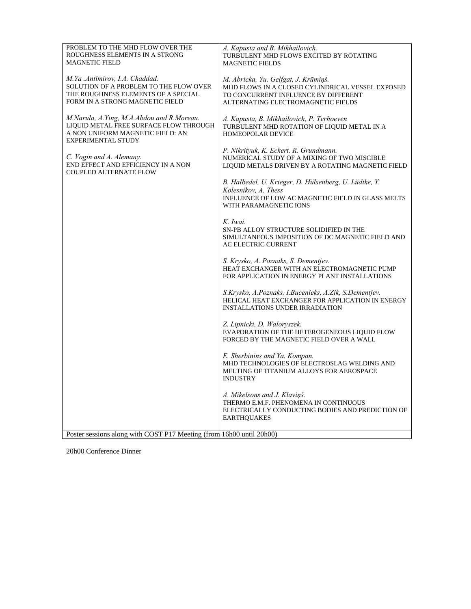| PROBLEM TO THE MHD FLOW OVER THE<br>ROUGHNESS ELEMENTS IN A STRONG<br><b>MAGNETIC FIELD</b>                                                          | A. Kapusta and B. Mikhailovich.<br>TURBULENT MHD FLOWS EXCITED BY ROTATING<br><b>MAGNETIC FIELDS</b>                                                                   |
|------------------------------------------------------------------------------------------------------------------------------------------------------|------------------------------------------------------------------------------------------------------------------------------------------------------------------------|
| M.Ya .Antimirov, I.A. Chaddad.<br>SOLUTION OF A PROBLEM TO THE FLOW OVER<br>THE ROUGHNESS ELEMENTS OF A SPECIAL<br>FORM IN A STRONG MAGNETIC FIELD   | M. Abricka, Yu. Gelfgat, J. Krūmiņš.<br>MHD FLOWS IN A CLOSED CYLINDRICAL VESSEL EXPOSED<br>TO CONCURRENT INFLUENCE BY DIFFERENT<br>ALTERNATING ELECTROMAGNETIC FIELDS |
| M.Narula, A.Ying, M.A.Abdou and R.Moreau.<br>LIQUID METAL FREE SURFACE FLOW THROUGH<br>A NON UNIFORM MAGNETIC FIELD: AN<br><b>EXPERIMENTAL STUDY</b> | A. Kapusta, B. Mikhailovich, P. Terhoeven<br>TURBULENT MHD ROTATION OF LIQUID METAL IN A<br>HOMEOPOLAR DEVICE                                                          |
| C. Vogin and A. Alemany.<br>END EFFECT AND EFFICIENCY IN A NON<br><b>COUPLED ALTERNATE FLOW</b>                                                      | P. Nikrityuk, K. Eckert. R. Grundmann.<br>NUMERICAL STUDY OF A MIXING OF TWO MISCIBLE<br>LIQUID METALS DRIVEN BY A ROTATING MAGNETIC FIELD                             |
|                                                                                                                                                      | B. Halbedel, U. Krieger, D. Hülsenberg, U. Lüdtke, Y.<br>Kolesnikov, A. Thess<br>INFLUENCE OF LOW AC MAGNETIC FIELD IN GLASS MELTS<br>WITH PARAMAGNETIC IONS           |
|                                                                                                                                                      | K. Iwai.<br>SN-PB ALLOY STRUCTURE SOLIDIFIED IN THE<br>SIMULTANEOUS IMPOSITION OF DC MAGNETIC FIELD AND<br><b>AC ELECTRIC CURRENT</b>                                  |
|                                                                                                                                                      | S. Krysko, A. Poznaks, S. Dementjev.<br>HEAT EXCHANGER WITH AN ELECTROMAGNETIC PUMP<br>FOR APPLICATION IN ENERGY PLANT INSTALLATIONS                                   |
|                                                                                                                                                      | S.Krysko, A.Poznaks, I.Bucenieks, A.Zik, S.Dementjev.<br>HELICAL HEAT EXCHANGER FOR APPLICATION IN ENERGY<br><b>INSTALLATIONS UNDER IRRADIATION</b>                    |
|                                                                                                                                                      | Z. Lipnicki, D. Waloryszek.<br>EVAPORATION OF THE HETEROGENEOUS LIQUID FLOW<br>FORCED BY THE MAGNETIC FIELD OVER A WALL                                                |
|                                                                                                                                                      | E. Sherbinins and Ya. Kompan.<br>MHD TECHNOLOGIES OF ELECTROSLAG WELDING AND<br>MELTING OF TITANIUM ALLOYS FOR AEROSPACE<br><b>INDUSTRY</b>                            |
|                                                                                                                                                      | A. Mikelsons and J. Klaviņš.<br>THERMO E.M.F. PHENOMENA IN CONTINUOUS<br>ELECTRICALLY CONDUCTING BODIES AND PREDICTION OF<br><b>EARTHQUAKES</b>                        |
| Poster sessions along with COST P17 Meeting (from 16h00 until 20h00)                                                                                 |                                                                                                                                                                        |

20h00 Conference Dinner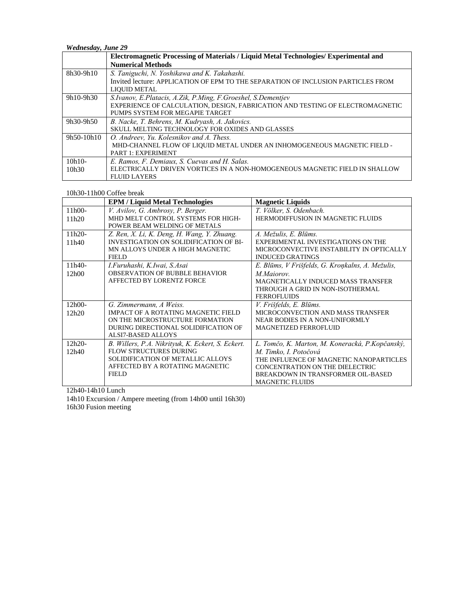*Wednesday, June 29*

|              | Electromagnetic Processing of Materials / Liquid Metal Technologies / Experimental and |
|--------------|----------------------------------------------------------------------------------------|
|              | <b>Numerical Methods</b>                                                               |
| 8h30-9h10    | S. Taniguchi, N. Yoshikawa and K. Takahashi.                                           |
|              | Invited lecture: APPLICATION OF EPM TO THE SEPARATION OF INCLUSION PARTICLES FROM      |
|              | <b>LIQUID METAL</b>                                                                    |
| 9h10-9h30    | S.Ivanov, E.Platacis, A.Zik, P.Ming, F.Groeshel, S.Dementjev                           |
|              | EXPERIENCE OF CALCULATION, DESIGN, FABRICATION AND TESTING OF ELECTROMAGNETIC          |
|              | PUMPS SYSTEM FOR MEGAPIE TARGET                                                        |
| 9h30-9h50    | B. Nacke, T. Behrens, M. Kudryash, A. Jakovics.                                        |
|              | SKULL MELTING TECHNOLOGY FOR OXIDES AND GLASSES                                        |
| $9h50-10h10$ | O. Andreev. Yu. Kolesnikov and A. Thess.                                               |
|              | MHD-CHANNEL FLOW OF LIQUID METAL UNDER AN INHOMOGENEOUS MAGNETIC FIELD -               |
|              | <b>PART 1: EXPERIMENT</b>                                                              |
| $10h10-$     | E. Ramos, F. Demiaux, S. Cuevas and H. Salas.                                          |
| 10h30        | ELECTRICALLY DRIVEN VORTICES IN A NON-HOMOGENEOUS MAGNETIC FIELD IN SHALLOW            |
|              | <b>FLUID LAYERS</b>                                                                    |

## 10h30-11h00 Coffee break

|          | <b>EPM / Liquid Metal Technologies</b>            | <b>Magnetic Liquids</b>                          |
|----------|---------------------------------------------------|--------------------------------------------------|
| $11h00-$ | V. Avilov, G. Ambrosy, P. Berger.                 | T. Völker, S. Odenbach.                          |
| 11h20    | MHD MELT CONTROL SYSTEMS FOR HIGH-                | <b>HERMODIFFUSION IN MAGNETIC FLUIDS</b>         |
|          | POWER BEAM WELDING OF METALS                      |                                                  |
| $11h20-$ | Z. Ren, X. Li, K. Deng, H. Wang, Y. Zhuang.       | A. Mežulis, E. Blūms.                            |
| 11h40    | <b>INVESTIGATION ON SOLIDIFICATION OF BI-</b>     | EXPERIMENTAL INVESTIGATIONS ON THE               |
|          | MN ALLOYS UNDER A HIGH MAGNETIC                   | MICROCONVECTIVE INSTABILITY IN OPTICALLY         |
|          | <b>FIELD</b>                                      | <b>INDUCED GRATINGS</b>                          |
| $11h40-$ | I.Furuhashi, K.Iwai, S.Asai                       | E. Blūms, V Frišfelds, G. Kroņkalns, A. Mežulis, |
| 12h00    | <b>OBSERVATION OF BUBBLE BEHAVIOR</b>             | M.Maiorov.                                       |
|          | AFFECTED BY LORENTZ FORCE                         | MAGNETICALLY INDUCED MASS TRANSFER               |
|          |                                                   | THROUGH A GRID IN NON-ISOTHERMAL                 |
|          |                                                   | <b>FERROFLUIDS</b>                               |
| $12h00-$ | G. Zimmermann, A Weiss.                           | V. Frišfelds, E. Blūms.                          |
| 12h20    | <b>IMPACT OF A ROTATING MAGNETIC FIELD</b>        | MICROCONVECTION AND MASS TRANSFER                |
|          | ON THE MICROSTRUCTURE FORMATION                   | NEAR BODIES IN A NON-UNIFORMLY                   |
|          | DURING DIRECTIONAL SOLIDIFICATION OF              | <b>MAGNETIZED FERROFLUID</b>                     |
|          | ALSI7-BASED ALLOYS                                |                                                  |
| $12h20-$ | B. Willers, P.A. Nikrityuk, K. Eckert, S. Eckert. | L. Tomčo, K. Marton, M. Koneracká, P. Kopčanský, |
| 12h40    | FLOW STRUCTURES DURING                            | M. Timko, I. Potočová                            |
|          | SOLIDIFICATION OF METALLIC ALLOYS                 | THE INFLUENCE OF MAGNETIC NANOPARTICLES          |
|          | AFFECTED BY A ROTATING MAGNETIC                   | CONCENTRATION ON THE DIELECTRIC                  |
|          | <b>FIELD</b>                                      | BREAKDOWN IN TRANSFORMER OIL-BASED               |
|          |                                                   | <b>MAGNETIC FLUIDS</b>                           |

12h40-14h10 Lunch

14h10 Excursion / Ampere meeting (from 14h00 until 16h30) 16h30 Fusion meeting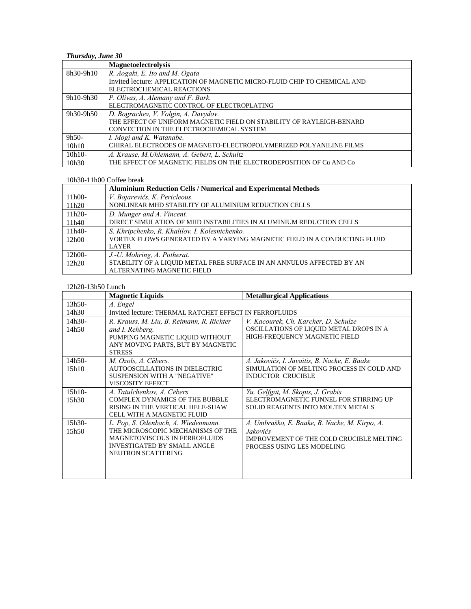# *Thursday, June 30*

|           | <b>Magnetoelectrolysis</b>                                                |
|-----------|---------------------------------------------------------------------------|
| 8h30-9h10 | R. Aogaki, E. Ito and M. Ogata                                            |
|           | Invited lecture: APPLICATION OF MAGNETIC MICRO-FLUID CHIP TO CHEMICAL AND |
|           | ELECTROCHEMICAL REACTIONS                                                 |
| 9h10-9h30 | P. Olivas, A. Alemany and F. Bark.                                        |
|           | ELECTROMAGNETIC CONTROL OF ELECTROPLATING                                 |
| 9h30-9h50 | D. Bograchev, V. Volgin, A. Davydov.                                      |
|           | THE EFFECT OF UNIFORM MAGNETIC FIELD ON STABILITY OF RAYLEIGH-BENARD      |
|           | CONVECTION IN THE ELECTROCHEMICAL SYSTEM                                  |
| $9h50-$   | I. Mogi and K. Watanabe.                                                  |
| 10h10     | CHIRAL ELECTRODES OF MAGNETO-ELECTROPOLYMERIZED POLYANILINE FILMS         |
| $10h10-$  | A. Krause, M. Uhlemann, A. Gebert, L. Schultz                             |
| 10h30     | THE EFFECT OF MAGNETIC FIELDS ON THE ELECTRODEPOSITION OF Cu AND Co       |

## 10h30-11h00 Coffee break

|          | <b>Aluminium Reduction Cells / Numerical and Experimental Methods</b>    |
|----------|--------------------------------------------------------------------------|
| $11h00-$ | V. Bojarevičs, K. Pericleous.                                            |
| 11h20    | NONLINEAR MHD STABILITY OF ALUMINIUM REDUCTION CELLS                     |
| $11h20-$ | D. Munger and A. Vincent.                                                |
| 11h40    | DIRECT SIMULATION OF MHD INSTABILITIES IN ALUMINIUM REDUCTION CELLS      |
| $11h40-$ | S. Khripchenko, R. Khalilov, I. Kolesnichenko.                           |
| 12h00    | VORTEX FLOWS GENERATED BY A VARYING MAGNETIC FIELD IN A CONDUCTING FLUID |
|          | LAYER                                                                    |
| $12h00-$ | J.-U. Mohring, A. Potherat.                                              |
| 12h20    | STABILITY OF A LIQUID METAL FREE SURFACE IN AN ANNULUS AFFECTED BY AN    |
|          | ALTERNATING MAGNETIC FIELD                                               |

## 12h20-13h50 Lunch

|          | <b>Magnetic Liquids</b>                                | <b>Metallurgical Applications</b>             |
|----------|--------------------------------------------------------|-----------------------------------------------|
| $13h50-$ | A. Engel                                               |                                               |
| 14h30    | Invited lecture: THERMAL RATCHET EFFECT IN FERROFLUIDS |                                               |
| $14h30-$ | R. Krauss, M. Liu, B. Reimann, R. Richter              | V. Kacourek, Ch. Karcher, D. Schulze          |
| 14h50    | and I. Rehberg.                                        | OSCILLATIONS OF LIQUID METAL DROPS IN A       |
|          | PUMPING MAGNETIC LIQUID WITHOUT                        | HIGH-FREQUENCY MAGNETIC FIELD                 |
|          | ANY MOVING PARTS, BUT BY MAGNETIC                      |                                               |
|          | <b>STRESS</b>                                          |                                               |
| 14h50-   | M. Ozols, A. Cēbers.                                   | A. Jakovičs, I. Javaitis, B. Nacke, E. Baake  |
| 15h10    | AUTOOSCILLATIONS IN DIELECTRIC                         | SIMULATION OF MELTING PROCESS IN COLD AND     |
|          | SUSPENSION WITH A "NEGATIVE"                           | INDUCTOR CRUCIBLE                             |
|          | <b>VISCOSITY EFFECT</b>                                |                                               |
| $15h10-$ | A. Tatulchenkov, A. Cēbers                             | Yu. Gelfgat, M. Skopis, J. Grabis             |
| 15h30    | COMPLEX DYNAMICS OF THE BUBBLE                         | ELECTROMAGNETIC FUNNEL FOR STIRRING UP        |
|          | RISING IN THE VERTICAL HELE-SHAW                       | SOLID REAGENTS INTO MOLTEN METALS             |
|          | <b>CELL WITH A MAGNETIC FLUID</b>                      |                                               |
| $15h30-$ | L. Pop, S. Odenbach, A. Wiedenmann.                    | A. Umbraško, E. Baake, B. Nacke, M. Kirpo, A. |
| 15h50    | THE MICROSCOPIC MECHANISMS OF THE                      | Jakovičs                                      |
|          | <b>MAGNETOVISCOUS IN FERROFLUIDS</b>                   | IMPROVEMENT OF THE COLD CRUCIBLE MELTING      |
|          | <b>INVESTIGATED BY SMALL ANGLE</b>                     | PROCESS USING LES MODELING                    |
|          | NEUTRON SCATTERING                                     |                                               |
|          |                                                        |                                               |
|          |                                                        |                                               |
|          |                                                        |                                               |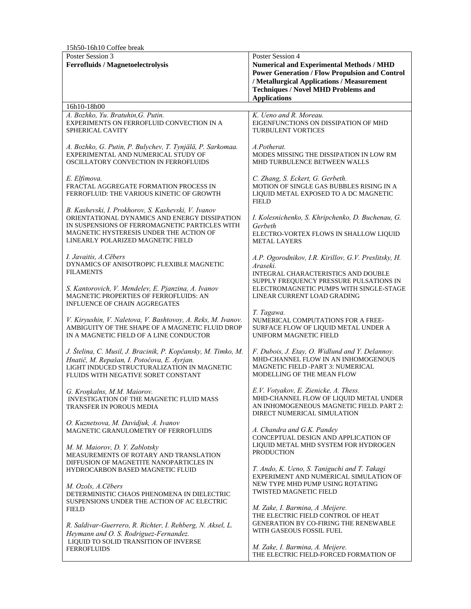| 15h50-16h10 Coffee break                                                                                                                                                                                                               |                                                                                                                                                                                                                                                 |  |  |
|----------------------------------------------------------------------------------------------------------------------------------------------------------------------------------------------------------------------------------------|-------------------------------------------------------------------------------------------------------------------------------------------------------------------------------------------------------------------------------------------------|--|--|
| Poster Session 3<br><b>Ferrofluids / Magnetoelectrolysis</b>                                                                                                                                                                           | Poster Session 4<br><b>Numerical and Experimental Methods / MHD</b><br><b>Power Generation / Flow Propulsion and Control</b><br>/ Metallurgical Applications / Measurement<br><b>Techniques / Novel MHD Problems and</b><br><b>Applications</b> |  |  |
| 16h10-18h00                                                                                                                                                                                                                            |                                                                                                                                                                                                                                                 |  |  |
| A. Bozhko, Yu. Bratuhin, G. Putin.<br>EXPERIMENTS ON FERROFLUID CONVECTION IN A<br>SPHERICAL CAVITY                                                                                                                                    | K. Ueno and R. Moreau.<br>EIGENFUNCTIONS ON DISSIPATION OF MHD<br><b>TURBULENT VORTICES</b>                                                                                                                                                     |  |  |
| A. Bozhko, G. Putin, P. Bulychev, T. Tynjälä, P. Sarkomaa.<br>EXPERIMENTAL AND NUMERICAL STUDY OF<br>OSCILLATORY CONVECTION IN FERROFLUIDS                                                                                             | A.Potherat.<br>MODES MISSING THE DISSIPATION IN LOW RM<br>MHD TURBULENCE BETWEEN WALLS                                                                                                                                                          |  |  |
| E. Elfimova.<br>FRACTAL AGGREGATE FORMATION PROCESS IN<br>FERROFLUID: THE VARIOUS KINETIC OF GROWTH                                                                                                                                    | C. Zhang, S. Eckert, G. Gerbeth.<br>MOTION OF SINGLE GAS BUBBLES RISING IN A<br>LIQUID METAL EXPOSED TO A DC MAGNETIC<br><b>FIELD</b>                                                                                                           |  |  |
| B. Kashevski, I. Prokhorov, S. Kashevski, V. Ivanov<br>ORIENTATIONAL DYNAMICS AND ENERGY DISSIPATION<br>IN SUSPENSIONS OF FERROMAGNETIC PARTICLES WITH<br>MAGNETIC HYSTERESIS UNDER THE ACTION OF<br>LINEARLY POLARIZED MAGNETIC FIELD | I. Kolesnichenko, S. Khripchenko, D. Buchenau, G.<br>Gerbeth<br>ELECTRO-VORTEX FLOWS IN SHALLOW LIQUID<br><b>METAL LAYERS</b>                                                                                                                   |  |  |
| I. Javaitis, A.Cēbers<br>DYNAMICS OF ANISOTROPIC FLEXIBLE MAGNETIC<br><b>FILAMENTS</b>                                                                                                                                                 | A.P. Ogorodnikov, I.R. Kirillov, G.V. Preslitsky, H.<br>Araseki.<br>INTEGRAL CHARACTERISTICS AND DOUBLE<br>SUPPLY FREQUENCY PRESSURE PULSATIONS IN<br>ELECTROMAGNETIC PUMPS WITH SINGLE-STAGE<br>LINEAR CURRENT LOAD GRADING                    |  |  |
| S. Kantorovich, V. Mendelev, E. Pjanzina, A. Ivanov<br><b>MAGNETIC PROPERTIES OF FERROFLUIDS: AN</b><br><b>INFLUENCE OF CHAIN AGGREGATES</b>                                                                                           |                                                                                                                                                                                                                                                 |  |  |
| V. Kiryushin, V. Naletova, V. Bashtovoy, A. Reks, M. Ivanov.<br>AMBIGUITY OF THE SHAPE OF A MAGNETIC FLUID DROP<br>IN A MAGNETIC FIELD OF A LINE CONDUCTOR                                                                             | T. Tagawa.<br>NUMERICAL COMPUTATIONS FOR A FREE-<br>SURFACE FLOW OF LIQUID METAL UNDER A<br>UNIFORM MAGNETIC FIELD                                                                                                                              |  |  |
| J. Štelina, C. Musil, J. Bracinik, P. Kopčansky, M. Timko, M.<br>Hnatič, M. Repašan, I. Potočova, E. Ayrjan.<br>LIGHT INDUCED STRUCTURALIZATION IN MAGNETIC<br>FLUIDS WITH NEGATIVE SORET CONSTANT                                     | F. Dubois, J. Etay, O. Widlund and Y. Delannoy.<br>MHD-CHANNEL FLOW IN AN INHOMOGENOUS<br>MAGNETIC FIELD -PART 3: NUMERICAL<br><b>MODELLING OF THE MEAN FLOW</b>                                                                                |  |  |
| G. Kroņkalns, M.M. Maiorov.<br><b>INVESTIGATION OF THE MAGNETIC FLUID MASS</b><br>TRANSFER IN POROUS MEDIA                                                                                                                             | E.V. Votyakov, E. Zienicke, A. Thess.<br>MHD-CHANNEL FLOW OF LIQUID METAL UNDER<br>AN INHOMOGENEOUS MAGNETIC FIELD. PART 2:<br>DIRECT NUMERICAL SIMULATION                                                                                      |  |  |
| O. Kuznetsova, M. Davidjuk, A. Ivanov<br>MAGNETIC GRANULOMETRY OF FERROFLUIDS                                                                                                                                                          | A. Chandra and G.K. Pandey<br>CONCEPTUAL DESIGN AND APPLICATION OF<br>LIQUID METAL MHD SYSTEM FOR HYDROGEN<br><b>PRODUCTION</b>                                                                                                                 |  |  |
| M. M. Maiorov, D. Y. Zablotsky<br>MEASUREMENTS OF ROTARY AND TRANSLATION<br>DIFFUSION OF MAGNETITE NANOPARTICLES IN                                                                                                                    |                                                                                                                                                                                                                                                 |  |  |
| HYDROCARBON BASED MAGNETIC FLUID<br>M. Ozols, A.Cēbers<br>DETERMINISTIC CHAOS PHENOMENA IN DIELECTRIC<br>SUSPENSIONS UNDER THE ACTION OF AC ELECTRIC                                                                                   | T. Ando, K. Ueno, S. Taniguchi and T. Takagi<br>EXPERIMENT AND NUMERICAL SIMULATION OF<br>NEW TYPE MHD PUMP USING ROTATING<br>TWISTED MAGNETIC FIELD                                                                                            |  |  |
| <b>FIELD</b><br>R. Saldivar-Guerrero, R. Richter, I. Rehberg, N. Aksel, L.<br>Heymann and O. S. Rodriguez-Fernandez.                                                                                                                   | M. Zake, I. Barmina, A .Meijere.<br>THE ELECTRIC FIELD CONTROL OF HEAT<br><b>GENERATION BY CO-FIRING THE RENEWABLE</b><br>WITH GASEOUS FOSSIL FUEL                                                                                              |  |  |
| LIQUID TO SOLID TRANSITION OF INVERSE<br><b>FERROFLUIDS</b>                                                                                                                                                                            | M. Zake, I. Barmina, A. Meijere.<br>THE ELECTRIC FIELD-FORCED FORMATION OF                                                                                                                                                                      |  |  |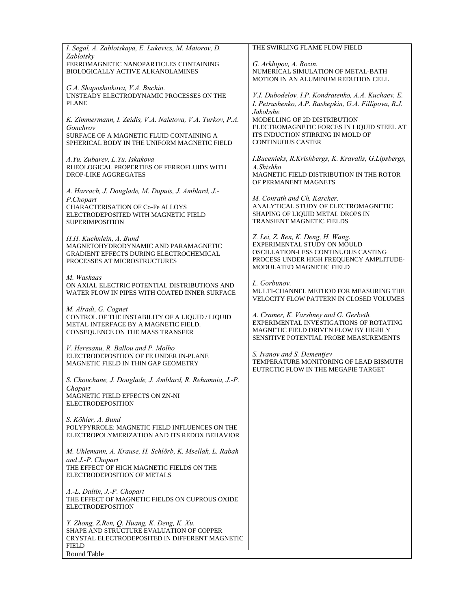| I. Segal, A. Zablotskaya, E. Lukevics, M. Maiorov, D.                                                                                               | THE SWIRLING FLAME FLOW FIELD                                                                                                                                                  |
|-----------------------------------------------------------------------------------------------------------------------------------------------------|--------------------------------------------------------------------------------------------------------------------------------------------------------------------------------|
| Zablotsky<br>FERROMAGNETIC NANOPARTICLES CONTAINING<br>BIOLOGICALLY ACTIVE ALKANOLAMINES                                                            | G. Arkhipov, A. Rozin.<br>NUMERICAL SIMULATION OF METAL-BATH<br>MOTION IN AN ALUMINUM REDUTION CELL                                                                            |
| G.A. Shaposhnikova, V.A. Buchin.<br>UNSTEADY ELECTRODYNAMIC PROCESSES ON THE<br><b>PLANE</b>                                                        | V.I. Dubodelov, I.P. Kondratenko, A.A. Kuchaev, E.<br>I. Petrushenko, A.P. Rashepkin, G.A. Fillipova, R.J.                                                                     |
| K. Zimmermann, I. Zeidis, V.A. Naletova, V.A. Turkov, P.A.<br>Gonchrov                                                                              | Jakobshe.<br>MODELLING OF 2D DISTRIBUTION<br>ELECTROMAGNETIC FORCES IN LIQUID STEEL AT                                                                                         |
| SURFACE OF A MAGNETIC FLUID CONTAINING A<br>SPHERICAL BODY IN THE UNIFORM MAGNETIC FIELD                                                            | ITS INDUCTION STIRRING IN MOLD OF<br><b>CONTINUOUS CASTER</b>                                                                                                                  |
| A.Yu. Zubarev, L.Yu. Iskakova<br>RHEOLOGICAL PROPERTIES OF FERROFLUIDS WITH<br>DROP-LIKE AGGREGATES                                                 | I.Bucenieks, R.Krishbergs, K. Kravalis, G.Lipsbergs,<br>A.Shishko<br>MAGNETIC FIELD DISTRIBUTION IN THE ROTOR<br>OF PERMANENT MAGNETS                                          |
| A. Harrach, J. Douglade, M. Dupuis, J. Amblard, J.-                                                                                                 |                                                                                                                                                                                |
| P.Chopart<br>CHARACTERISATION OF Co-Fe ALLOYS<br>ELECTRODEPOSITED WITH MAGNETIC FIELD<br><b>SUPERIMPOSITION</b>                                     | M. Conrath and Ch. Karcher.<br>ANALYTICAL STUDY OF ELECTROMAGNETIC<br>SHAPING OF LIQUID METAL DROPS IN<br><b>TRANSIENT MAGNETIC FIELDS</b>                                     |
| H.H. Kuehnlein, A. Bund<br>MAGNETOHYDRODYNAMIC AND PARAMAGNETIC<br>GRADIENT EFFECTS DURING ELECTROCHEMICAL<br>PROCESSES AT MICROSTRUCTURES          | Z. Lei, Z. Ren, K. Deng, H. Wang.<br>EXPERIMENTAL STUDY ON MOULD<br>OSCILLATION-LESS CONTINUOUS CASTING<br>PROCESS UNDER HIGH FREQUENCY AMPLITUDE-<br>MODULATED MAGNETIC FIELD |
| M. Waskaas<br>ON AXIAL ELECTRIC POTENTIAL DISTRIBUTIONS AND<br>WATER FLOW IN PIPES WITH COATED INNER SURFACE                                        | L. Gorbunov.<br>MULTI-CHANNEL METHOD FOR MEASURING THE<br>VELOCITY FLOW PATTERN IN CLOSED VOLUMES                                                                              |
| M. Alradi, G. Cognet<br>CONTROL OF THE INSTABILITY OF A LIQUID / LIQUID<br>METAL INTERFACE BY A MAGNETIC FIELD.<br>CONSEQUENCE ON THE MASS TRANSFER | A. Cramer, K. Varshney and G. Gerbeth.<br>EXPERIMENTAL INVESTIGATIONS OF ROTATING<br>MAGNETIC FIELD DRIVEN FLOW BY HIGHLY<br>SENSITIVE POTENTIAL PROBE MEASUREMENTS            |
| V. Heresanu, R. Ballou and P. Molho<br>ELECTRODEPOSITION OF FE UNDER IN-PLANE<br>MAGNETIC FIELD IN THIN GAP GEOMETRY                                | S. Ivanov and S. Dementjev<br>TEMPERATURE MONITORING OF LEAD BISMUTH<br>EUTRCTIC FLOW IN THE MEGAPIE TARGET                                                                    |
| S. Chouchane, J. Douglade, J. Amblard, R. Rehamnia, J.-P.                                                                                           |                                                                                                                                                                                |
| Chopart<br>MAGNETIC FIELD EFFECTS ON ZN-NI<br><b>ELECTRODEPOSITION</b>                                                                              |                                                                                                                                                                                |
| S. Köhler, A. Bund                                                                                                                                  |                                                                                                                                                                                |
| POLYPYRROLE: MAGNETIC FIELD INFLUENCES ON THE<br>ELECTROPOLYMERIZATION AND ITS REDOX BEHAVIOR                                                       |                                                                                                                                                                                |
| M. Uhlemann, A. Krause, H. Schlörb, K. Msellak, L. Rabah<br>and J.-P. Chopart                                                                       |                                                                                                                                                                                |
| THE EFFECT OF HIGH MAGNETIC FIELDS ON THE<br>ELECTRODEPOSITION OF METALS                                                                            |                                                                                                                                                                                |
| A.-L. Daltin, J.-P. Chopart<br>THE EFFECT OF MAGNETIC FIELDS ON CUPROUS OXIDE<br><b>ELECTRODEPOSITION</b>                                           |                                                                                                                                                                                |
| Y. Zhong, Z.Ren, Q. Huang, K. Deng, K. Xu.<br>SHAPE AND STRUCTURE EVALUATION OF COPPER<br>CRYSTAL ELECTRODEPOSITED IN DIFFERENT MAGNETIC            |                                                                                                                                                                                |
| <b>FIELD</b>                                                                                                                                        |                                                                                                                                                                                |